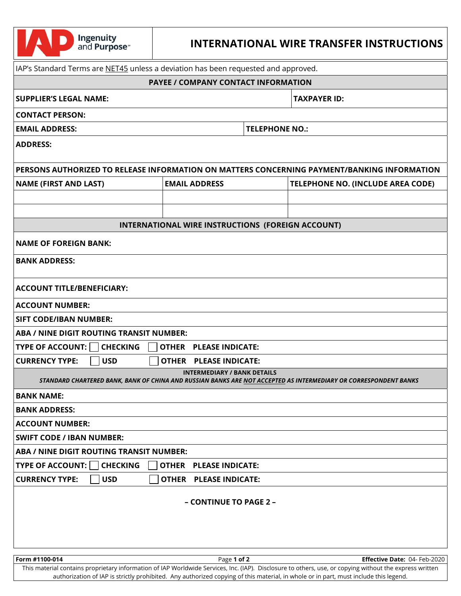| IAP's Standard Terms are NET45 unless a deviation has been requested and approved.<br><b>PAYEE / COMPANY CONTACT INFORMATION</b><br><b>SUPPLIER'S LEGAL NAME:</b><br><b>TAXPAYER ID:</b><br><b>CONTACT PERSON:</b><br><b>TELEPHONE NO.:</b><br><b>EMAIL ADDRESS:</b><br><b>ADDRESS:</b><br>PERSONS AUTHORIZED TO RELEASE INFORMATION ON MATTERS CONCERNING PAYMENT/BANKING INFORMATION<br><b>EMAIL ADDRESS</b><br><b>NAME (FIRST AND LAST)</b><br>TELEPHONE NO. (INCLUDE AREA CODE)<br><b>INTERNATIONAL WIRE INSTRUCTIONS (FOREIGN ACCOUNT)</b><br><b>NAME OF FOREIGN BANK:</b><br><b>BANK ADDRESS:</b><br><b>ACCOUNT TITLE/BENEFICIARY:</b><br><b>ACCOUNT NUMBER:</b><br><b>SIFT CODE/IBAN NUMBER:</b><br>ABA / NINE DIGIT ROUTING TRANSIT NUMBER:<br><b>TYPE OF ACCOUNT:</b><br><b>CHECKING</b><br><b>OTHER PLEASE INDICATE:</b><br><b>USD</b><br><b>CURRENCY TYPE:</b><br><b>OTHER PLEASE INDICATE:</b><br><b>INTERMEDIARY / BANK DETAILS</b><br>STANDARD CHARTERED BANK, BANK OF CHINA AND RUSSIAN BANKS ARE NOT ACCEPTED AS INTERMEDIARY OR CORRESPONDENT BANKS<br><b>BANK NAME:</b><br><b>BANK ADDRESS:</b><br><b>ACCOUNT NUMBER:</b><br><b>SWIFT CODE / IBAN NUMBER:</b><br>ABA / NINE DIGIT ROUTING TRANSIT NUMBER:<br><b>TYPE OF ACCOUNT:</b><br><b>CHECKING</b><br><b>OTHER PLEASE INDICATE:</b><br><b>CURRENCY TYPE:</b><br><b>USD</b><br><b>OTHER PLEASE INDICATE:</b><br>- CONTINUE TO PAGE 2 -<br>Form #1100-014<br>Page 1 of 2<br><b>Effective Date: 04- Feb-2020</b><br>This material contains proprietary information of IAP Worldwide Services, Inc. (IAP). Disclosure to others, use, or copying without the express written<br>authorization of IAP is strictly prohibited. Any authorized copying of this material, in whole or in part, must include this legend. | <b>Ingenuity</b><br>and Purpose <sup>®</sup> | <b>INTERNATIONAL WIRE TRANSFER INSTRUCTIONS</b> |  |  |  |  |
|-----------------------------------------------------------------------------------------------------------------------------------------------------------------------------------------------------------------------------------------------------------------------------------------------------------------------------------------------------------------------------------------------------------------------------------------------------------------------------------------------------------------------------------------------------------------------------------------------------------------------------------------------------------------------------------------------------------------------------------------------------------------------------------------------------------------------------------------------------------------------------------------------------------------------------------------------------------------------------------------------------------------------------------------------------------------------------------------------------------------------------------------------------------------------------------------------------------------------------------------------------------------------------------------------------------------------------------------------------------------------------------------------------------------------------------------------------------------------------------------------------------------------------------------------------------------------------------------------------------------------------------------------------------------------------------------------------------------------------------------------------------------------------------------|----------------------------------------------|-------------------------------------------------|--|--|--|--|
|                                                                                                                                                                                                                                                                                                                                                                                                                                                                                                                                                                                                                                                                                                                                                                                                                                                                                                                                                                                                                                                                                                                                                                                                                                                                                                                                                                                                                                                                                                                                                                                                                                                                                                                                                                                         |                                              |                                                 |  |  |  |  |
|                                                                                                                                                                                                                                                                                                                                                                                                                                                                                                                                                                                                                                                                                                                                                                                                                                                                                                                                                                                                                                                                                                                                                                                                                                                                                                                                                                                                                                                                                                                                                                                                                                                                                                                                                                                         |                                              |                                                 |  |  |  |  |
|                                                                                                                                                                                                                                                                                                                                                                                                                                                                                                                                                                                                                                                                                                                                                                                                                                                                                                                                                                                                                                                                                                                                                                                                                                                                                                                                                                                                                                                                                                                                                                                                                                                                                                                                                                                         |                                              |                                                 |  |  |  |  |
|                                                                                                                                                                                                                                                                                                                                                                                                                                                                                                                                                                                                                                                                                                                                                                                                                                                                                                                                                                                                                                                                                                                                                                                                                                                                                                                                                                                                                                                                                                                                                                                                                                                                                                                                                                                         |                                              |                                                 |  |  |  |  |
|                                                                                                                                                                                                                                                                                                                                                                                                                                                                                                                                                                                                                                                                                                                                                                                                                                                                                                                                                                                                                                                                                                                                                                                                                                                                                                                                                                                                                                                                                                                                                                                                                                                                                                                                                                                         |                                              |                                                 |  |  |  |  |
|                                                                                                                                                                                                                                                                                                                                                                                                                                                                                                                                                                                                                                                                                                                                                                                                                                                                                                                                                                                                                                                                                                                                                                                                                                                                                                                                                                                                                                                                                                                                                                                                                                                                                                                                                                                         |                                              |                                                 |  |  |  |  |
|                                                                                                                                                                                                                                                                                                                                                                                                                                                                                                                                                                                                                                                                                                                                                                                                                                                                                                                                                                                                                                                                                                                                                                                                                                                                                                                                                                                                                                                                                                                                                                                                                                                                                                                                                                                         |                                              |                                                 |  |  |  |  |
|                                                                                                                                                                                                                                                                                                                                                                                                                                                                                                                                                                                                                                                                                                                                                                                                                                                                                                                                                                                                                                                                                                                                                                                                                                                                                                                                                                                                                                                                                                                                                                                                                                                                                                                                                                                         |                                              |                                                 |  |  |  |  |
|                                                                                                                                                                                                                                                                                                                                                                                                                                                                                                                                                                                                                                                                                                                                                                                                                                                                                                                                                                                                                                                                                                                                                                                                                                                                                                                                                                                                                                                                                                                                                                                                                                                                                                                                                                                         |                                              |                                                 |  |  |  |  |
|                                                                                                                                                                                                                                                                                                                                                                                                                                                                                                                                                                                                                                                                                                                                                                                                                                                                                                                                                                                                                                                                                                                                                                                                                                                                                                                                                                                                                                                                                                                                                                                                                                                                                                                                                                                         |                                              |                                                 |  |  |  |  |
|                                                                                                                                                                                                                                                                                                                                                                                                                                                                                                                                                                                                                                                                                                                                                                                                                                                                                                                                                                                                                                                                                                                                                                                                                                                                                                                                                                                                                                                                                                                                                                                                                                                                                                                                                                                         |                                              |                                                 |  |  |  |  |
|                                                                                                                                                                                                                                                                                                                                                                                                                                                                                                                                                                                                                                                                                                                                                                                                                                                                                                                                                                                                                                                                                                                                                                                                                                                                                                                                                                                                                                                                                                                                                                                                                                                                                                                                                                                         |                                              |                                                 |  |  |  |  |
|                                                                                                                                                                                                                                                                                                                                                                                                                                                                                                                                                                                                                                                                                                                                                                                                                                                                                                                                                                                                                                                                                                                                                                                                                                                                                                                                                                                                                                                                                                                                                                                                                                                                                                                                                                                         |                                              |                                                 |  |  |  |  |
|                                                                                                                                                                                                                                                                                                                                                                                                                                                                                                                                                                                                                                                                                                                                                                                                                                                                                                                                                                                                                                                                                                                                                                                                                                                                                                                                                                                                                                                                                                                                                                                                                                                                                                                                                                                         |                                              |                                                 |  |  |  |  |
|                                                                                                                                                                                                                                                                                                                                                                                                                                                                                                                                                                                                                                                                                                                                                                                                                                                                                                                                                                                                                                                                                                                                                                                                                                                                                                                                                                                                                                                                                                                                                                                                                                                                                                                                                                                         |                                              |                                                 |  |  |  |  |
|                                                                                                                                                                                                                                                                                                                                                                                                                                                                                                                                                                                                                                                                                                                                                                                                                                                                                                                                                                                                                                                                                                                                                                                                                                                                                                                                                                                                                                                                                                                                                                                                                                                                                                                                                                                         |                                              |                                                 |  |  |  |  |
|                                                                                                                                                                                                                                                                                                                                                                                                                                                                                                                                                                                                                                                                                                                                                                                                                                                                                                                                                                                                                                                                                                                                                                                                                                                                                                                                                                                                                                                                                                                                                                                                                                                                                                                                                                                         |                                              |                                                 |  |  |  |  |
|                                                                                                                                                                                                                                                                                                                                                                                                                                                                                                                                                                                                                                                                                                                                                                                                                                                                                                                                                                                                                                                                                                                                                                                                                                                                                                                                                                                                                                                                                                                                                                                                                                                                                                                                                                                         |                                              |                                                 |  |  |  |  |
|                                                                                                                                                                                                                                                                                                                                                                                                                                                                                                                                                                                                                                                                                                                                                                                                                                                                                                                                                                                                                                                                                                                                                                                                                                                                                                                                                                                                                                                                                                                                                                                                                                                                                                                                                                                         |                                              |                                                 |  |  |  |  |
|                                                                                                                                                                                                                                                                                                                                                                                                                                                                                                                                                                                                                                                                                                                                                                                                                                                                                                                                                                                                                                                                                                                                                                                                                                                                                                                                                                                                                                                                                                                                                                                                                                                                                                                                                                                         |                                              |                                                 |  |  |  |  |
|                                                                                                                                                                                                                                                                                                                                                                                                                                                                                                                                                                                                                                                                                                                                                                                                                                                                                                                                                                                                                                                                                                                                                                                                                                                                                                                                                                                                                                                                                                                                                                                                                                                                                                                                                                                         |                                              |                                                 |  |  |  |  |
|                                                                                                                                                                                                                                                                                                                                                                                                                                                                                                                                                                                                                                                                                                                                                                                                                                                                                                                                                                                                                                                                                                                                                                                                                                                                                                                                                                                                                                                                                                                                                                                                                                                                                                                                                                                         |                                              |                                                 |  |  |  |  |
|                                                                                                                                                                                                                                                                                                                                                                                                                                                                                                                                                                                                                                                                                                                                                                                                                                                                                                                                                                                                                                                                                                                                                                                                                                                                                                                                                                                                                                                                                                                                                                                                                                                                                                                                                                                         |                                              |                                                 |  |  |  |  |
|                                                                                                                                                                                                                                                                                                                                                                                                                                                                                                                                                                                                                                                                                                                                                                                                                                                                                                                                                                                                                                                                                                                                                                                                                                                                                                                                                                                                                                                                                                                                                                                                                                                                                                                                                                                         |                                              |                                                 |  |  |  |  |
|                                                                                                                                                                                                                                                                                                                                                                                                                                                                                                                                                                                                                                                                                                                                                                                                                                                                                                                                                                                                                                                                                                                                                                                                                                                                                                                                                                                                                                                                                                                                                                                                                                                                                                                                                                                         |                                              |                                                 |  |  |  |  |
|                                                                                                                                                                                                                                                                                                                                                                                                                                                                                                                                                                                                                                                                                                                                                                                                                                                                                                                                                                                                                                                                                                                                                                                                                                                                                                                                                                                                                                                                                                                                                                                                                                                                                                                                                                                         |                                              |                                                 |  |  |  |  |
|                                                                                                                                                                                                                                                                                                                                                                                                                                                                                                                                                                                                                                                                                                                                                                                                                                                                                                                                                                                                                                                                                                                                                                                                                                                                                                                                                                                                                                                                                                                                                                                                                                                                                                                                                                                         |                                              |                                                 |  |  |  |  |
|                                                                                                                                                                                                                                                                                                                                                                                                                                                                                                                                                                                                                                                                                                                                                                                                                                                                                                                                                                                                                                                                                                                                                                                                                                                                                                                                                                                                                                                                                                                                                                                                                                                                                                                                                                                         |                                              |                                                 |  |  |  |  |
|                                                                                                                                                                                                                                                                                                                                                                                                                                                                                                                                                                                                                                                                                                                                                                                                                                                                                                                                                                                                                                                                                                                                                                                                                                                                                                                                                                                                                                                                                                                                                                                                                                                                                                                                                                                         |                                              |                                                 |  |  |  |  |
|                                                                                                                                                                                                                                                                                                                                                                                                                                                                                                                                                                                                                                                                                                                                                                                                                                                                                                                                                                                                                                                                                                                                                                                                                                                                                                                                                                                                                                                                                                                                                                                                                                                                                                                                                                                         |                                              |                                                 |  |  |  |  |
|                                                                                                                                                                                                                                                                                                                                                                                                                                                                                                                                                                                                                                                                                                                                                                                                                                                                                                                                                                                                                                                                                                                                                                                                                                                                                                                                                                                                                                                                                                                                                                                                                                                                                                                                                                                         |                                              |                                                 |  |  |  |  |